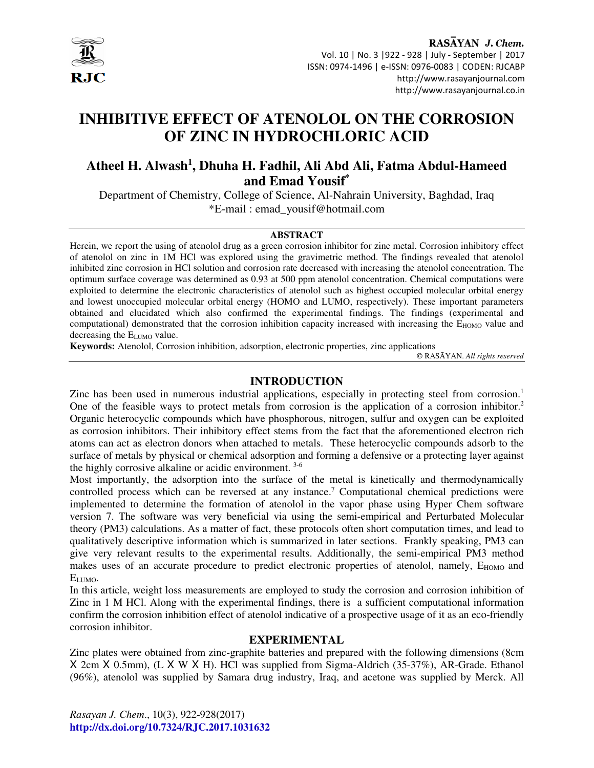

RASAYAN J. Chem. Vol. 10 | No. 3 |922 - 928 | July - September | 2017 ISSN: 0974-1496 | e-ISSN: 0976-0083 | CODEN: RJCABP http://www.rasayanjournal.com http://www.rasayanjournal.co.in

# **INHIBITIVE EFFECT OF ATENOLOL ON THE CORROSION OF ZINC IN HYDROCHLORIC ACID**

## **Atheel H. Alwash<sup>1</sup> , Dhuha H. Fadhil, Ali Abd Ali, Fatma Abdul-Hameed and Emad Yousif\***

Department of Chemistry, College of Science, Al-Nahrain University, Baghdad, Iraq \*E-mail : emad\_yousif@hotmail.com

#### **ABSTRACT**

Herein, we report the using of atenolol drug as a green corrosion inhibitor for zinc metal. Corrosion inhibitory effect of atenolol on zinc in 1M HCl was explored using the gravimetric method. The findings revealed that atenolol inhibited zinc corrosion in HCl solution and corrosion rate decreased with increasing the atenolol concentration. The optimum surface coverage was determined as 0.93 at 500 ppm atenolol concentration. Chemical computations were exploited to determine the electronic characteristics of atenolol such as highest occupied molecular orbital energy and lowest unoccupied molecular orbital energy (HOMO and LUMO, respectively). These important parameters obtained and elucidated which also confirmed the experimental findings. The findings (experimental and computational) demonstrated that the corrosion inhibition capacity increased with increasing the E<sub>HOMO</sub> value and decreasing the E<sub>LUMO</sub> value.

**Keywords:** Atenolol, Corrosion inhibition, adsorption, electronic properties, zinc applications

© RASĀYAN. *All rights reserved*

#### **INTRODUCTION**

Zinc has been used in numerous industrial applications, especially in protecting steel from corrosion.<sup>1</sup> One of the feasible ways to protect metals from corrosion is the application of a corrosion inhibitor.<sup>2</sup> Organic heterocyclic compounds which have phosphorous, nitrogen, sulfur and oxygen can be exploited as corrosion inhibitors. Their inhibitory effect stems from the fact that the aforementioned electron rich atoms can act as electron donors when attached to metals. These heterocyclic compounds adsorb to the surface of metals by physical or chemical adsorption and forming a defensive or a protecting layer against the highly corrosive alkaline or acidic environment. 3-6

Most importantly, the adsorption into the surface of the metal is kinetically and thermodynamically controlled process which can be reversed at any instance.<sup>7</sup> Computational chemical predictions were implemented to determine the formation of atenolol in the vapor phase using Hyper Chem software version 7. The software was very beneficial via using the semi-empirical and Perturbated Molecular theory (PM3) calculations. As a matter of fact, these protocols often short computation times, and lead to qualitatively descriptive information which is summarized in later sections. Frankly speaking, PM3 can give very relevant results to the experimental results. Additionally, the semi-empirical PM3 method makes uses of an accurate procedure to predict electronic properties of atenolol, namely, E<sub>HOMO</sub> and ELUMO.

In this article, weight loss measurements are employed to study the corrosion and corrosion inhibition of Zinc in 1 M HCl. Along with the experimental findings, there is a sufficient computational information confirm the corrosion inhibition effect of atenolol indicative of a prospective usage of it as an eco-friendly corrosion inhibitor.

#### **EXPERIMENTAL**

Zinc plates were obtained from zinc-graphite batteries and prepared with the following dimensions (8cm X 2cm X 0.5mm), (L X W X H). HCl was supplied from Sigma-Aldrich (35-37%), AR-Grade. Ethanol (96%), atenolol was supplied by Samara drug industry, Iraq, and acetone was supplied by Merck. All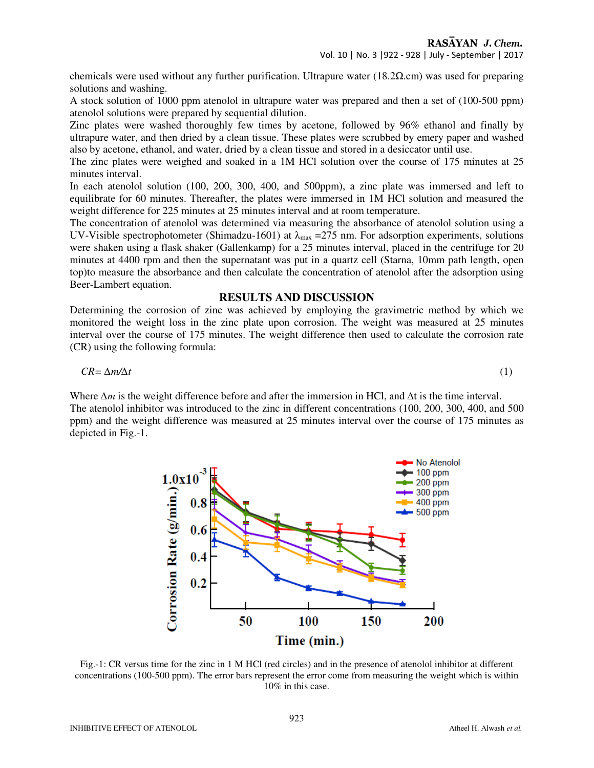chemicals were used without any further purification. Ultrapure water (18.2 $\Omega$ ) was used for preparing solutions and washing.

A stock solution of 1000 ppm atenolol in ultrapure water was prepared and then a set of (100-500 ppm) atenolol solutions were prepared by sequential dilution.

Zinc plates were washed thoroughly few times by acetone, followed by 96% ethanol and finally by ultrapure water, and then dried by a clean tissue. These plates were scrubbed by emery paper and washed also by acetone, ethanol, and water, dried by a clean tissue and stored in a desiccator until use.

The zinc plates were weighed and soaked in a 1M HCl solution over the course of 175 minutes at 25 minutes interval.

In each atenolol solution (100, 200, 300, 400, and 500ppm), a zinc plate was immersed and left to equilibrate for 60 minutes. Thereafter, the plates were immersed in 1M HCl solution and measured the weight difference for 225 minutes at 25 minutes interval and at room temperature.

The concentration of atenolol was determined via measuring the absorbance of atenolol solution using a UV-Visible spectrophotometer (Shimadzu-1601) at  $\lambda_{\text{max}} = 275$  nm. For adsorption experiments, solutions were shaken using a flask shaker (Gallenkamp) for a 25 minutes interval, placed in the centrifuge for 20 minutes at 4400 rpm and then the supernatant was put in a quartz cell (Starna, 10mm path length, open top)to measure the absorbance and then calculate the concentration of atenolol after the adsorption using Beer-Lambert equation.

#### **RESULTS AND DISCUSSION**

Determining the corrosion of zinc was achieved by employing the gravimetric method by which we monitored the weight loss in the zinc plate upon corrosion. The weight was measured at 25 minutes interval over the course of 175 minutes. The weight difference then used to calculate the corrosion rate (CR) using the following formula:

$$
CR = \Delta m / \Delta t \tag{1}
$$

Where  $\Delta m$  is the weight difference before and after the immersion in HCl, and  $\Delta t$  is the time interval. The atenolol inhibitor was introduced to the zinc in different concentrations (100, 200, 300, 400, and 500 ppm) and the weight difference was measured at 25 minutes interval over the course of 175 minutes as depicted in Fig.-1.



Fig.-1: CR versus time for the zinc in 1 M HCl (red circles) and in the presence of atenolol inhibitor at different concentrations (100-500 ppm). The error bars represent the error come from measuring the weight which is within 10% in this case.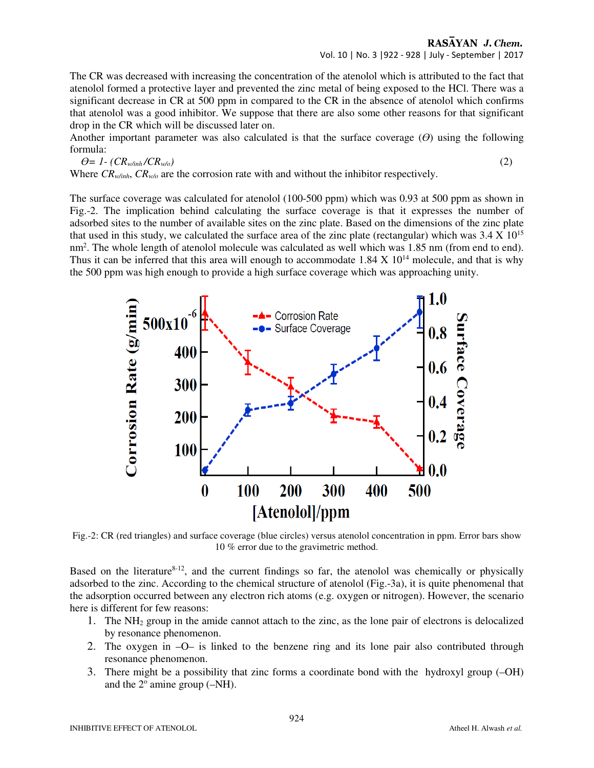#### RASAYAN J. Chem. Vol. 10 | No. 3 |922 - 928 | July - September | 2017

The CR was decreased with increasing the concentration of the atenolol which is attributed to the fact that atenolol formed a protective layer and prevented the zinc metal of being exposed to the HCl. There was a significant decrease in CR at 500 ppm in compared to the CR in the absence of atenolol which confirms that atenolol was a good inhibitor. We suppose that there are also some other reasons for that significant drop in the CR which will be discussed later on.

Another important parameter was also calculated is that the surface coverage (*ϴ*) using the following formula:

$$
\theta = 1 - (CR_{\text{w/inh}}/CR_{\text{w/o}}) \tag{2}
$$

Where  $CR_{\psi\psi n h}$ ,  $CR_{\psi\psi}$  are the corrosion rate with and without the inhibitor respectively.

The surface coverage was calculated for atenolol (100-500 ppm) which was 0.93 at 500 ppm as shown in Fig.-2. The implication behind calculating the surface coverage is that it expresses the number of adsorbed sites to the number of available sites on the zinc plate. Based on the dimensions of the zinc plate that used in this study, we calculated the surface area of the zinc plate (rectangular) which was  $3.4 \times 10^{15}$ nm<sup>2</sup>. The whole length of atenolol molecule was calculated as well which was 1.85 nm (from end to end). Thus it can be inferred that this area will enough to accommodate  $1.84 \times 10^{14}$  molecule, and that is why the 500 ppm was high enough to provide a high surface coverage which was approaching unity.



Fig.-2: CR (red triangles) and surface coverage (blue circles) versus atenolol concentration in ppm. Error bars show 10 % error due to the gravimetric method.

Based on the literature<sup>8-12</sup>, and the current findings so far, the atenolol was chemically or physically adsorbed to the zinc. According to the chemical structure of atenolol (Fig.-3a), it is quite phenomenal that the adsorption occurred between any electron rich atoms (e.g. oxygen or nitrogen). However, the scenario here is different for few reasons:

- 1. The NH2 group in the amide cannot attach to the zinc, as the lone pair of electrons is delocalized by resonance phenomenon.
- 2. The oxygen in –O– is linked to the benzene ring and its lone pair also contributed through resonance phenomenon.
- 3. There might be a possibility that zinc forms a coordinate bond with the hydroxyl group (–OH) and the  $2^{\circ}$  amine group (-NH).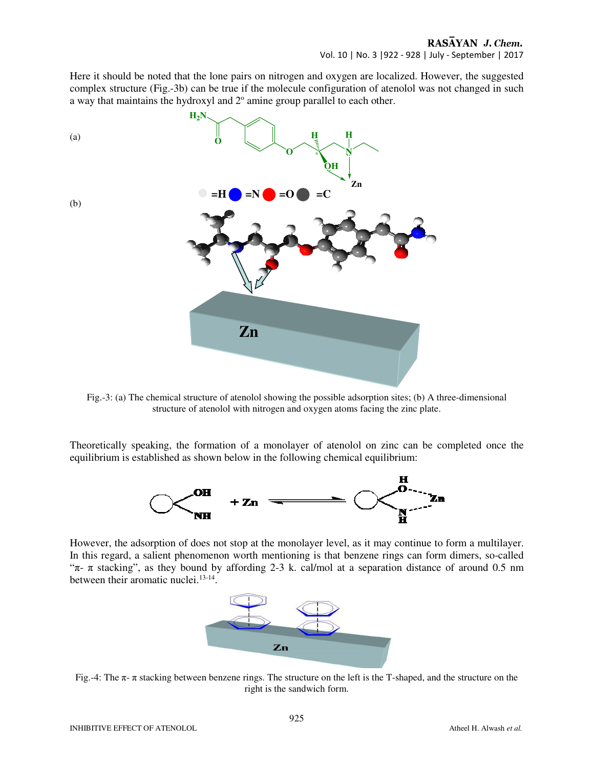Here it should be noted that the lone pairs on nitrogen and oxygen are localized. However, the suggested complex structure (Fig.-3b) can be true if the molecule configuration of atenolol was not changed in such a way that maintains the hydroxyl and  $2^{\circ}$  amine group parallel to each other.



Fig.-3: (a) The chemical structure of atenolol showing the possible adsorption sites; (b) A three-dimensional structure of atenolol with nitrogen and oxygen atoms facing the zinc plate.

Theoretically speaking, the formation of a monolayer of atenolol on zinc can be completed once the equilibrium is established as shown below in the following chemical equilibrium:



However, the adsorption of does not stop at the monolayer level, as it may continue to form a multilayer. In this regard, a salient phenomenon worth mentioning is that benzene rings can form dimers, so-called " $\pi$ -  $\pi$  stacking", as they bound by affording 2-3 k. cal/mol at a separation distance of around 0.5 nm between their aromatic nuclei.<sup>13-14</sup>.



Fig.-4: The π- π stacking between benzene rings. The structure on the left is the T-shaped, and the structure on the right is the sandwich form.

(b)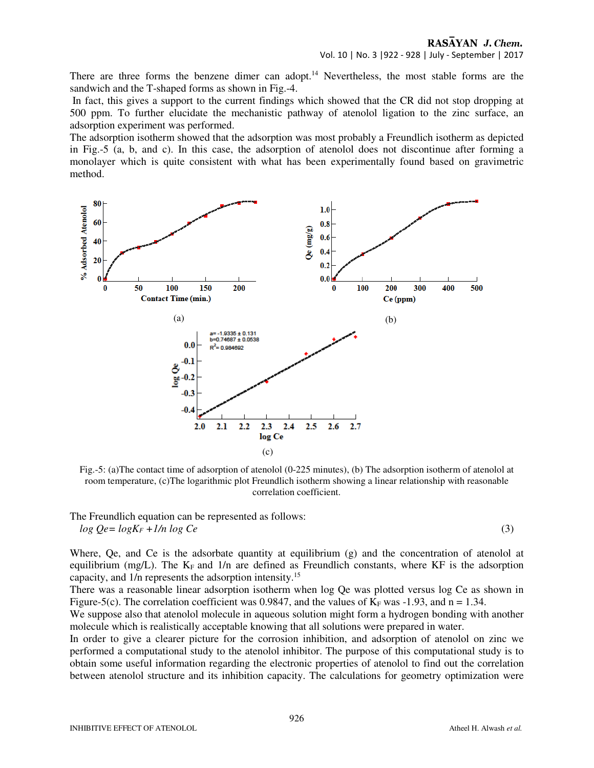There are three forms the benzene dimer can adopt.<sup>14</sup> Nevertheless, the most stable forms are the sandwich and the T-shaped forms as shown in Fig.-4.

 In fact, this gives a support to the current findings which showed that the CR did not stop dropping at 500 ppm. To further elucidate the mechanistic pathway of atenolol ligation to the zinc surface, an adsorption experiment was performed.

The adsorption isotherm showed that the adsorption was most probably a Freundlich isotherm as depicted in Fig.-5 (a, b, and c). In this case, the adsorption of atenolol does not discontinue after forming a monolayer which is quite consistent with what has been experimentally found based on gravimetric method.



Fig.-5: (a)The contact time of adsorption of atenolol (0-225 minutes), (b) The adsorption isotherm of atenolol at room temperature, (c)The logarithmic plot Freundlich isotherm showing a linear relationship with reasonable correlation coefficient.

The Freundlich equation can be represented as follows:  $log Qe = logK<sub>F</sub> +1/n log Ce$  (3)

Where, Oe, and Ce is the adsorbate quantity at equilibrium (g) and the concentration of atenolol at equilibrium (mg/L). The  $K_F$  and 1/n are defined as Freundlich constants, where KF is the adsorption capacity, and 1/n represents the adsorption intensity.<sup>15</sup>

There was a reasonable linear adsorption isotherm when log Qe was plotted versus log Ce as shown in Figure-5(c). The correlation coefficient was 0.9847, and the values of  $K_F$  was -1.93, and n = 1.34.

We suppose also that atenolol molecule in aqueous solution might form a hydrogen bonding with another molecule which is realistically acceptable knowing that all solutions were prepared in water.

In order to give a clearer picture for the corrosion inhibition, and adsorption of atenolol on zinc we performed a computational study to the atenolol inhibitor. The purpose of this computational study is to obtain some useful information regarding the electronic properties of atenolol to find out the correlation between atenolol structure and its inhibition capacity. The calculations for geometry optimization were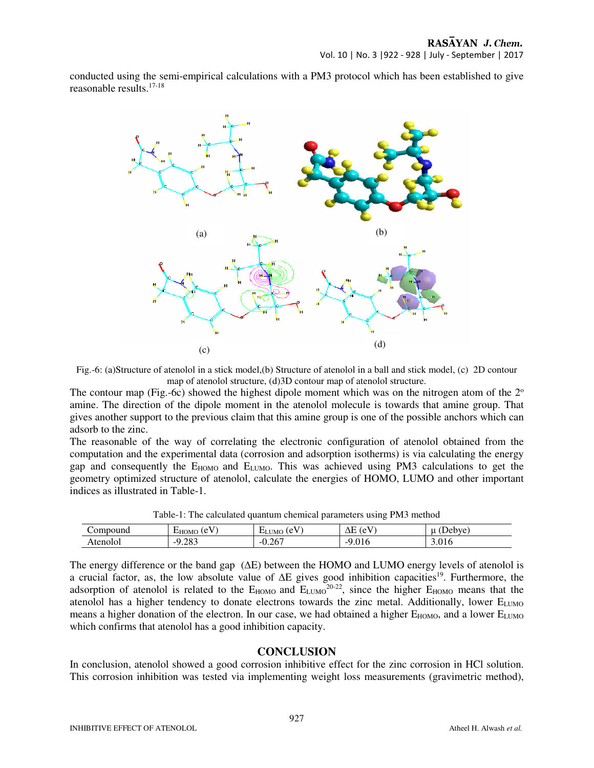conducted using the semi-empirical calculations with a PM3 protocol which has been established to give reasonable results.17-18



Fig.-6: (a)Structure of atenolol in a stick model,(b) Structure of atenolol in a ball and stick model, (c) 2D contour map of atenolol structure, (d)3D contour map of atenolol structure.

The contour map (Fig.-6c) showed the highest dipole moment which was on the nitrogen atom of the  $2^{\circ}$ amine. The direction of the dipole moment in the atenolol molecule is towards that amine group. That gives another support to the previous claim that this amine group is one of the possible anchors which can adsorb to the zinc.

The reasonable of the way of correlating the electronic configuration of atenolol obtained from the computation and the experimental data (corrosion and adsorption isotherms) is via calculating the energy gap and consequently the E<sub>HOMO</sub> and E<sub>LUMO</sub>. This was achieved using PM3 calculations to get the geometry optimized structure of atenolol, calculate the energies of HOMO, LUMO and other important indices as illustrated in Table-1.

| Table-1. The calculated qualitum enclinear parameters using 1 mJ method |                 |              |                 |        |
|-------------------------------------------------------------------------|-----------------|--------------|-----------------|--------|
| Compound                                                                | $E_{HOMO}$ (eV) | $ELUMO$ (eV) | $\Delta E$ (eV) | (Debve |
| Atenolol                                                                | $-9.283$        | $-0.267$     | $-9.016$        | 3.016  |

Table-1: The calculated quantum chemical parameters using PM3 method

The energy difference or the band gap (∆E) between the HOMO and LUMO energy levels of atenolol is a crucial factor, as, the low absolute value of ∆E gives good inhibition capacities<sup>19</sup>. Furthermore, the adsorption of atenolol is related to the  $E_{HOMO}$  and  $E_{LUMO}^{20-22}$ , since the higher  $E_{HOMO}$  means that the atenolol has a higher tendency to donate electrons towards the zinc metal. Additionally, lower ELUMO means a higher donation of the electron. In our case, we had obtained a higher  $E_{HOMO}$ , and a lower  $E_{LUMO}$ which confirms that atenolol has a good inhibition capacity.

### **CONCLUSION**

In conclusion, atenolol showed a good corrosion inhibitive effect for the zinc corrosion in HCl solution. This corrosion inhibition was tested via implementing weight loss measurements (gravimetric method),